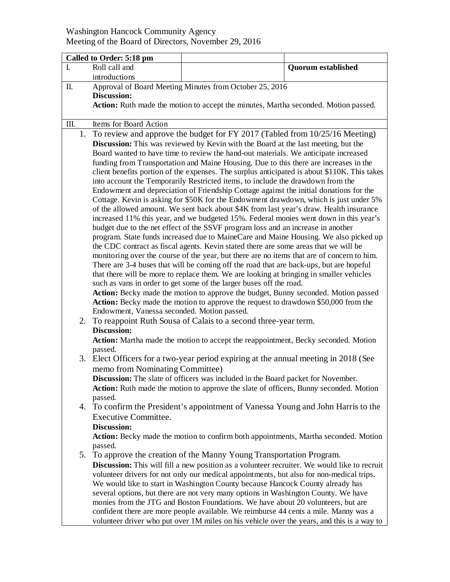## Washington Hancock Community Agency Meeting of the Board of Directors, November 29, 2016

| Called to Order: 5:18 pm |                                                                                                                                                                                                                                                                                                                                                                                                                                                                                                                                                                                                                                                                                                                                                                                                                                                                                                                                                                                                                                                                                                                                                                                                                                                                                                                                                                                                                                                                    |                                                                                                                                                                                                                                                                                                                                                                                                                                                                                                                                                                                                                                                                                                                         |                           |  |
|--------------------------|--------------------------------------------------------------------------------------------------------------------------------------------------------------------------------------------------------------------------------------------------------------------------------------------------------------------------------------------------------------------------------------------------------------------------------------------------------------------------------------------------------------------------------------------------------------------------------------------------------------------------------------------------------------------------------------------------------------------------------------------------------------------------------------------------------------------------------------------------------------------------------------------------------------------------------------------------------------------------------------------------------------------------------------------------------------------------------------------------------------------------------------------------------------------------------------------------------------------------------------------------------------------------------------------------------------------------------------------------------------------------------------------------------------------------------------------------------------------|-------------------------------------------------------------------------------------------------------------------------------------------------------------------------------------------------------------------------------------------------------------------------------------------------------------------------------------------------------------------------------------------------------------------------------------------------------------------------------------------------------------------------------------------------------------------------------------------------------------------------------------------------------------------------------------------------------------------------|---------------------------|--|
| $\mathbf{I}$ .           | Roll call and                                                                                                                                                                                                                                                                                                                                                                                                                                                                                                                                                                                                                                                                                                                                                                                                                                                                                                                                                                                                                                                                                                                                                                                                                                                                                                                                                                                                                                                      |                                                                                                                                                                                                                                                                                                                                                                                                                                                                                                                                                                                                                                                                                                                         | <b>Quorum</b> established |  |
|                          | introductions                                                                                                                                                                                                                                                                                                                                                                                                                                                                                                                                                                                                                                                                                                                                                                                                                                                                                                                                                                                                                                                                                                                                                                                                                                                                                                                                                                                                                                                      |                                                                                                                                                                                                                                                                                                                                                                                                                                                                                                                                                                                                                                                                                                                         |                           |  |
| П.                       | Approval of Board Meeting Minutes from October 25, 2016<br><b>Discussion:</b><br>Action: Ruth made the motion to accept the minutes, Martha seconded. Motion passed.                                                                                                                                                                                                                                                                                                                                                                                                                                                                                                                                                                                                                                                                                                                                                                                                                                                                                                                                                                                                                                                                                                                                                                                                                                                                                               |                                                                                                                                                                                                                                                                                                                                                                                                                                                                                                                                                                                                                                                                                                                         |                           |  |
| Ш.                       | Items for Board Action                                                                                                                                                                                                                                                                                                                                                                                                                                                                                                                                                                                                                                                                                                                                                                                                                                                                                                                                                                                                                                                                                                                                                                                                                                                                                                                                                                                                                                             |                                                                                                                                                                                                                                                                                                                                                                                                                                                                                                                                                                                                                                                                                                                         |                           |  |
| 1.                       | To review and approve the budget for FY 2017 (Tabled from 10/25/16 Meeting)<br>Discussion: This was reviewed by Kevin with the Board at the last meeting, but the<br>Board wanted to have time to review the hand-out materials. We anticipate increased<br>funding from Transportation and Maine Housing. Due to this there are increases in the<br>client benefits portion of the expenses. The surplus anticipated is about \$110K. This takes<br>into account the Temporarily Restricted items, to include the drawdown from the<br>Endowment and depreciation of Friendship Cottage against the initial donations for the<br>Cottage. Kevin is asking for \$50K for the Endowment drawdown, which is just under 5%<br>of the allowed amount. We sent back about \$4K from last year's draw. Health insurance<br>increased 11% this year, and we budgeted 15%. Federal monies went down in this year's<br>budget due to the net effect of the SSVF program loss and an increase in another<br>program. State funds increased due to MaineCare and Maine Housing. We also picked up<br>the CDC contract as fiscal agents. Kevin stated there are some areas that we will be<br>monitoring over the course of the year, but there are no items that are of concern to him.<br>There are 3-4 buses that will be coming off the road that are back-ups, but are hopeful<br>that there will be more to replace them. We are looking at bringing in smaller vehicles |                                                                                                                                                                                                                                                                                                                                                                                                                                                                                                                                                                                                                                                                                                                         |                           |  |
|                          | such as vans in order to get some of the larger buses off the road.<br>Action: Becky made the motion to approve the budget, Bunny seconded. Motion passed<br>Action: Becky made the motion to approve the request to drawdown \$50,000 from the<br>Endowment, Vanessa seconded. Motion passed.                                                                                                                                                                                                                                                                                                                                                                                                                                                                                                                                                                                                                                                                                                                                                                                                                                                                                                                                                                                                                                                                                                                                                                     |                                                                                                                                                                                                                                                                                                                                                                                                                                                                                                                                                                                                                                                                                                                         |                           |  |
| 2.                       | To reappoint Ruth Sousa of Calais to a second three-year term.<br><b>Discussion:</b><br>Action: Martha made the motion to accept the reappointment, Becky seconded. Motion<br>passed.                                                                                                                                                                                                                                                                                                                                                                                                                                                                                                                                                                                                                                                                                                                                                                                                                                                                                                                                                                                                                                                                                                                                                                                                                                                                              |                                                                                                                                                                                                                                                                                                                                                                                                                                                                                                                                                                                                                                                                                                                         |                           |  |
| 3.                       | memo from Nominating Committee)<br>passed.                                                                                                                                                                                                                                                                                                                                                                                                                                                                                                                                                                                                                                                                                                                                                                                                                                                                                                                                                                                                                                                                                                                                                                                                                                                                                                                                                                                                                         | Elect Officers for a two-year period expiring at the annual meeting in 2018 (See<br>Discussion: The slate of officers was included in the Board packet for November.<br>Action: Ruth made the motion to approve the slate of officers, Bunny seconded. Motion                                                                                                                                                                                                                                                                                                                                                                                                                                                           |                           |  |
|                          | Executive Committee.<br>Discussion:<br>passed.                                                                                                                                                                                                                                                                                                                                                                                                                                                                                                                                                                                                                                                                                                                                                                                                                                                                                                                                                                                                                                                                                                                                                                                                                                                                                                                                                                                                                     | 4. To confirm the President's appointment of Vanessa Young and John Harris to the<br>Action: Becky made the motion to confirm both appointments, Martha seconded. Motion                                                                                                                                                                                                                                                                                                                                                                                                                                                                                                                                                |                           |  |
| 5.                       |                                                                                                                                                                                                                                                                                                                                                                                                                                                                                                                                                                                                                                                                                                                                                                                                                                                                                                                                                                                                                                                                                                                                                                                                                                                                                                                                                                                                                                                                    | To approve the creation of the Manny Young Transportation Program.<br><b>Discussion:</b> This will fill a new position as a volunteer recruiter. We would like to recruit<br>volunteer drivers for not only our medical appointments, but also for non-medical trips.<br>We would like to start in Washington County because Hancock County already has<br>several options, but there are not very many options in Washington County. We have<br>monies from the JTG and Boston Foundations. We have about 20 volunteers, but are<br>confident there are more people available. We reimburse 44 cents a mile. Manny was a<br>volunteer driver who put over 1M miles on his vehicle over the years, and this is a way to |                           |  |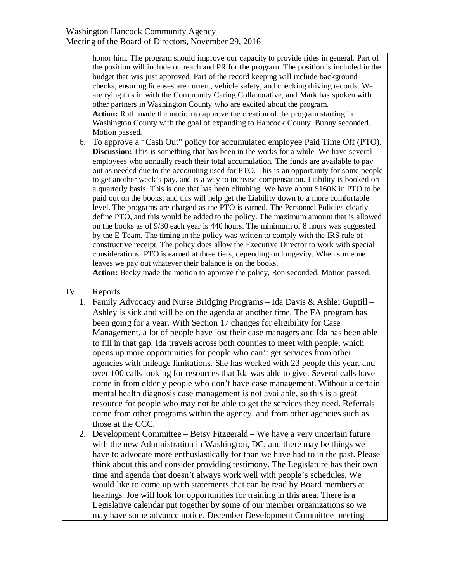| 6.  | honor him. The program should improve our capacity to provide rides in general. Part of<br>the position will include outreach and PR for the program. The position is included in the<br>budget that was just approved. Part of the record keeping will include background<br>checks, ensuring licenses are current, vehicle safety, and checking driving records. We<br>are tying this in with the Community Caring Collaborative, and Mark has spoken with<br>other partners in Washington County who are excited about the program.<br>Action: Ruth made the motion to approve the creation of the program starting in<br>Washington County with the goal of expanding to Hancock County, Bunny seconded.<br>Motion passed.<br>To approve a "Cash Out" policy for accumulated employee Paid Time Off (PTO).<br>Discussion: This is something that has been in the works for a while. We have several<br>employees who annually reach their total accumulation. The funds are available to pay<br>out as needed due to the accounting used for PTO. This is an opportunity for some people<br>to get another week's pay, and is a way to increase compensation. Liability is booked on<br>a quarterly basis. This is one that has been climbing. We have about \$160K in PTO to be<br>paid out on the books, and this will help get the Liability down to a more comfortable<br>level. The programs are charged as the PTO is earned. The Personnel Policies clearly<br>define PTO, and this would be added to the policy. The maximum amount that is allowed<br>on the books as of 9/30 each year is 440 hours. The minimum of 8 hours was suggested<br>by the E-Team. The timing in the policy was written to comply with the IRS rule of<br>constructive receipt. The policy does allow the Executive Director to work with special<br>considerations. PTO is earned at three tiers, depending on longevity. When someone<br>leaves we pay out whatever their balance is on the books.<br>Action: Becky made the motion to approve the policy, Ron seconded. Motion passed. |
|-----|----------------------------------------------------------------------------------------------------------------------------------------------------------------------------------------------------------------------------------------------------------------------------------------------------------------------------------------------------------------------------------------------------------------------------------------------------------------------------------------------------------------------------------------------------------------------------------------------------------------------------------------------------------------------------------------------------------------------------------------------------------------------------------------------------------------------------------------------------------------------------------------------------------------------------------------------------------------------------------------------------------------------------------------------------------------------------------------------------------------------------------------------------------------------------------------------------------------------------------------------------------------------------------------------------------------------------------------------------------------------------------------------------------------------------------------------------------------------------------------------------------------------------------------------------------------------------------------------------------------------------------------------------------------------------------------------------------------------------------------------------------------------------------------------------------------------------------------------------------------------------------------------------------------------------------------------------------------------------------------------------------------------------------------------------------------------------------|
| IV. | Reports                                                                                                                                                                                                                                                                                                                                                                                                                                                                                                                                                                                                                                                                                                                                                                                                                                                                                                                                                                                                                                                                                                                                                                                                                                                                                                                                                                                                                                                                                                                                                                                                                                                                                                                                                                                                                                                                                                                                                                                                                                                                          |
|     | 1. Family Advocacy and Nurse Bridging Programs - Ida Davis & Ashlei Guptill -                                                                                                                                                                                                                                                                                                                                                                                                                                                                                                                                                                                                                                                                                                                                                                                                                                                                                                                                                                                                                                                                                                                                                                                                                                                                                                                                                                                                                                                                                                                                                                                                                                                                                                                                                                                                                                                                                                                                                                                                    |
|     | Ashley is sick and will be on the agenda at another time. The FA program has<br>been going for a year. With Section 17 changes for eligibility for Case<br>Management, a lot of people have lost their case managers and Ida has been able<br>to fill in that gap. Ida travels across both counties to meet with people, which<br>opens up more opportunities for people who can't get services from other<br>agencies with mileage limitations. She has worked with 23 people this year, and<br>over 100 calls looking for resources that Ida was able to give. Several calls have<br>come in from elderly people who don't have case management. Without a certain<br>mental health diagnosis case management is not available, so this is a great<br>resource for people who may not be able to get the services they need. Referrals<br>come from other programs within the agency, and from other agencies such as<br>those at the CCC.<br>2. Development Committee – Betsy Fitzgerald – We have a very uncertain future<br>with the new Administration in Washington, DC, and there may be things we<br>have to advocate more enthusiastically for than we have had to in the past. Please<br>think about this and consider providing testimony. The Legislature has their own                                                                                                                                                                                                                                                                                                                                                                                                                                                                                                                                                                                                                                                                                                                                                                                             |
|     | time and agenda that doesn't always work well with people's schedules. We<br>would like to come up with statements that can be read by Board members at                                                                                                                                                                                                                                                                                                                                                                                                                                                                                                                                                                                                                                                                                                                                                                                                                                                                                                                                                                                                                                                                                                                                                                                                                                                                                                                                                                                                                                                                                                                                                                                                                                                                                                                                                                                                                                                                                                                          |
|     | hearings. Joe will look for opportunities for training in this area. There is a                                                                                                                                                                                                                                                                                                                                                                                                                                                                                                                                                                                                                                                                                                                                                                                                                                                                                                                                                                                                                                                                                                                                                                                                                                                                                                                                                                                                                                                                                                                                                                                                                                                                                                                                                                                                                                                                                                                                                                                                  |
|     | Legislative calendar put together by some of our member organizations so we<br>may have some advance notice. December Development Committee meeting                                                                                                                                                                                                                                                                                                                                                                                                                                                                                                                                                                                                                                                                                                                                                                                                                                                                                                                                                                                                                                                                                                                                                                                                                                                                                                                                                                                                                                                                                                                                                                                                                                                                                                                                                                                                                                                                                                                              |